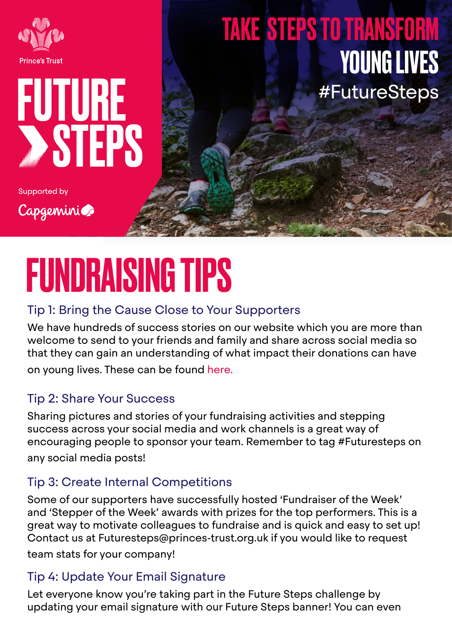

### #FutureSteps TAKE STEPS TO TRANSFORM YOUNG LIVES

**Supported by** 

Capgeminice

FUTURE

**STEPS** 

# FUNDRAISING TIPS

#### Tip 1: Bring the Cause Close to Your Supporters

We have hundreds of success stories on our website which you are more than welcome to send to your friends and family and share across social media so that they can gain an understanding of what impact their donations can have on young lives. These can be found [here.](https://www.princes-trust.org.uk/about-the-trust/success-stories)

#### Tip 2: Share Your Success

Sharing pictures and stories of your fundraising activities and stepping success across your social media and work channels is a great way of encouraging people to sponsor your team. Remember to tag #Futuresteps on any social media posts!

#### Tip 3: Create Internal Competitions

Some of our supporters have successfully hosted 'Fundraiser of the Week' and 'Stepper of the Week' awards with prizes for the top performers. This is a great way to motivate colleagues to fundraise and is quick and easy to set up! Contact us at Futuresteps@princes-trust.org.uk if you would like to request

team stats for your company!

#### Tip 4: Update Your Email Signature

Let everyone know you're taking part in the Future Steps challenge by updating your email signature with our Future Steps banner! You can even